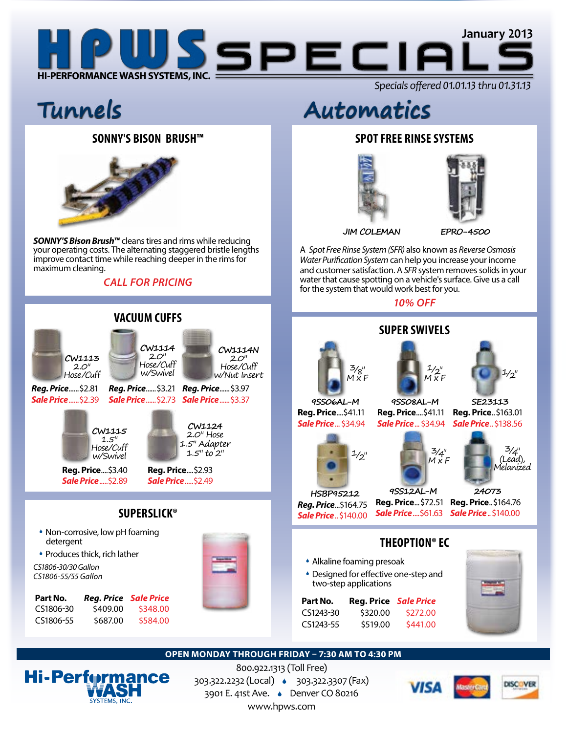

# **sONNY'S Bison brush™**



*SONNY'S Bison Brush™* cleans tires and rims while reducing your operating costs. The alternating staggered bristle lengths improve contact time while reaching deeper in the rims for maximum cleaning.

# *CALL FOR PRICING*



# **Tunnels Automatics**

# **Spot free rinse systems**





**JIM COLEMAN EPRO-4500**

A *Spot Free Rinse System (SFR)* also known as *Reverse Osmosis Water Purification System* can help you increase your income and customer satisfaction. A *SFR* system removes solids in your water that cause spotting on a vehicle's surface. Give us a call for the system that would work best for you.

*10% OFF*



## **OPEN MONDAY THROUGH FRIDAY – 7:30 AM TO 4:30 PM**



800.922.1313 (Toll Free) 303.322.2232 (Local) 303.322.3307 (Fax) 3901 E. 41st Ave. Denver CO 80216 www.hpws.com